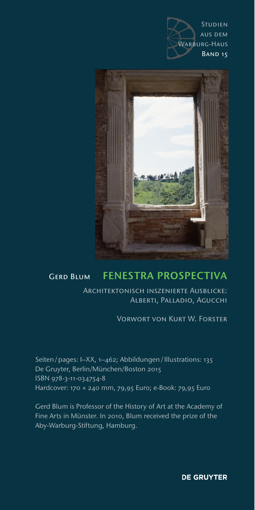



## Gerd Blum FENESTRA PROSPECTIVA

Architektonisch inszenierte Ausblicke: Alberti, Palladio, Agucchi

Vorwort von Kurt W. Forster

Seiten/pages: I–XX, 1–462; Abbildungen/Illustrations: 135 De Gruyter, Berlin/München/Boston 2015 ISBN 978-3-11-034754-8 Hardcover: 170 × 240 mm, 79,95 Euro; e-Book: 79,95 Euro

Gerd Blum is Professor of the History of Art at the Academy of Fine Arts in Münster. In 2010, Blum received the prize of the Aby-Warburg-Stiftung, Hamburg.

**DE GRUYTER**